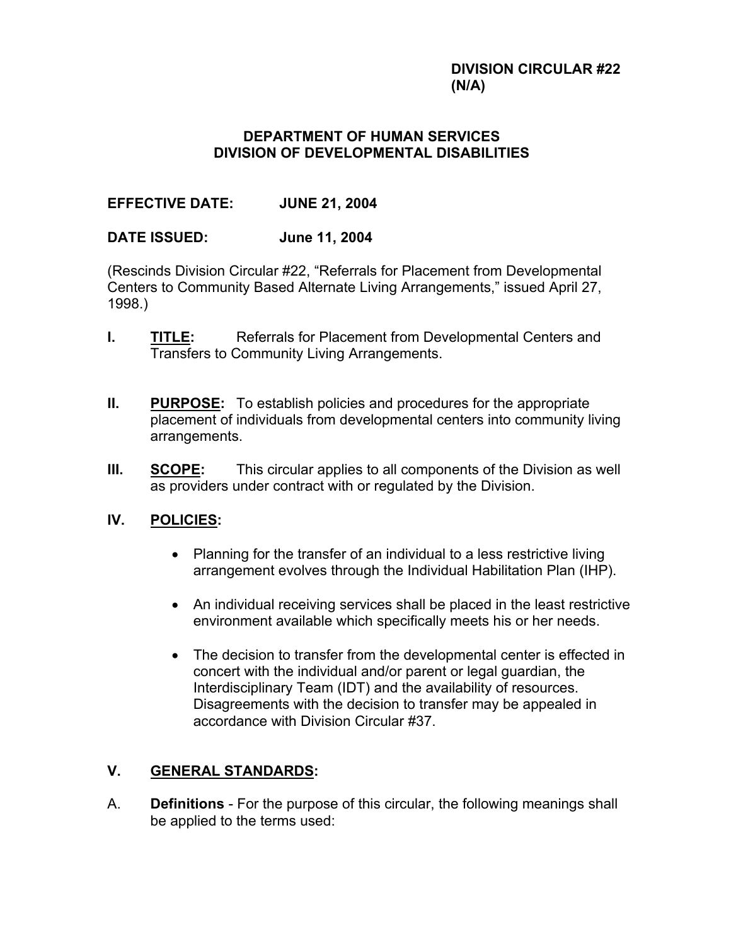### **DIVISION CIRCULAR #22 (N/A)**

## **DEPARTMENT OF HUMAN SERVICES DIVISION OF DEVELOPMENTAL DISABILITIES**

# **EFFECTIVE DATE: JUNE 21, 2004**

## **DATE ISSUED: June 11, 2004**

(Rescinds Division Circular #22, "Referrals for Placement from Developmental Centers to Community Based Alternate Living Arrangements," issued April 27, 1998.)

- **I.** TITLE: Referrals for Placement from Developmental Centers and Transfers to Community Living Arrangements.
- **II. PURPOSE:** To establish policies and procedures for the appropriate placement of individuals from developmental centers into community living arrangements.
- **III. SCOPE:** This circular applies to all components of the Division as well as providers under contract with or regulated by the Division.

# **IV. POLICIES:**

- Planning for the transfer of an individual to a less restrictive living arrangement evolves through the Individual Habilitation Plan (IHP).
- An individual receiving services shall be placed in the least restrictive environment available which specifically meets his or her needs.
- The decision to transfer from the developmental center is effected in concert with the individual and/or parent or legal guardian, the Interdisciplinary Team (IDT) and the availability of resources. Disagreements with the decision to transfer may be appealed in accordance with Division Circular #37.

# **V. GENERAL STANDARDS:**

A. **Definitions** - For the purpose of this circular, the following meanings shall be applied to the terms used: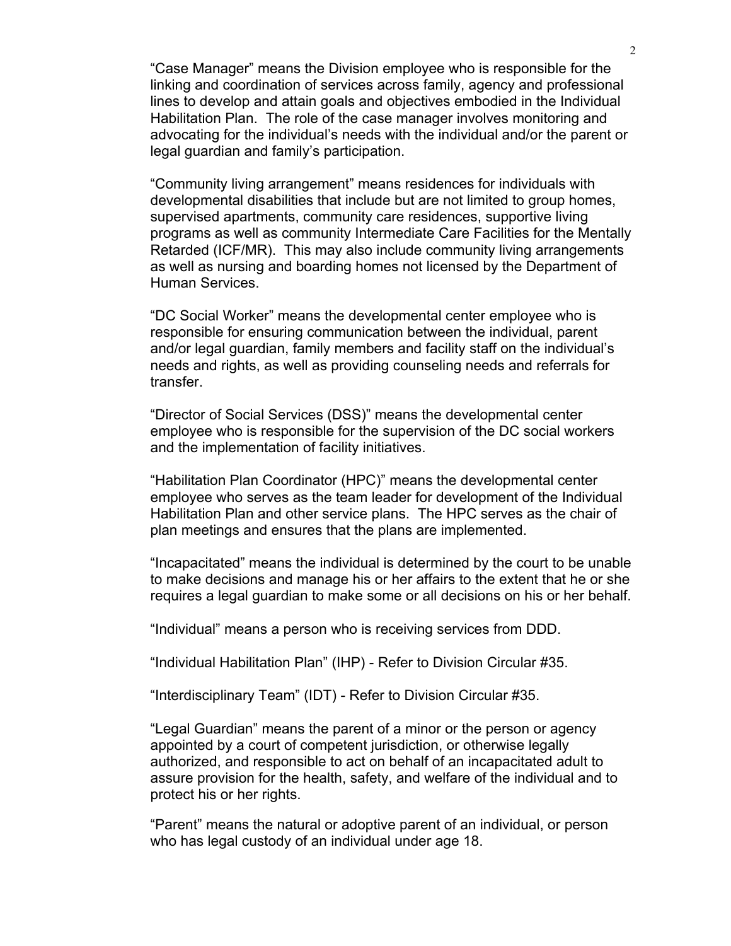"Case Manager" means the Division employee who is responsible for the linking and coordination of services across family, agency and professional lines to develop and attain goals and objectives embodied in the Individual Habilitation Plan. The role of the case manager involves monitoring and advocating for the individual's needs with the individual and/or the parent or legal guardian and family's participation.

 "Community living arrangement" means residences for individuals with developmental disabilities that include but are not limited to group homes, supervised apartments, community care residences, supportive living programs as well as community Intermediate Care Facilities for the Mentally Retarded (ICF/MR). This may also include community living arrangements as well as nursing and boarding homes not licensed by the Department of Human Services.

"DC Social Worker" means the developmental center employee who is responsible for ensuring communication between the individual, parent and/or legal guardian, family members and facility staff on the individual's needs and rights, as well as providing counseling needs and referrals for transfer.

"Director of Social Services (DSS)" means the developmental center employee who is responsible for the supervision of the DC social workers and the implementation of facility initiatives.

"Habilitation Plan Coordinator (HPC)" means the developmental center employee who serves as the team leader for development of the Individual Habilitation Plan and other service plans. The HPC serves as the chair of plan meetings and ensures that the plans are implemented.

"Incapacitated" means the individual is determined by the court to be unable to make decisions and manage his or her affairs to the extent that he or she requires a legal guardian to make some or all decisions on his or her behalf.

"Individual" means a person who is receiving services from DDD.

"Individual Habilitation Plan" (IHP) - Refer to Division Circular #35.

"Interdisciplinary Team" (IDT) - Refer to Division Circular #35.

"Legal Guardian" means the parent of a minor or the person or agency appointed by a court of competent jurisdiction, or otherwise legally authorized, and responsible to act on behalf of an incapacitated adult to assure provision for the health, safety, and welfare of the individual and to protect his or her rights.

"Parent" means the natural or adoptive parent of an individual, or person who has legal custody of an individual under age 18.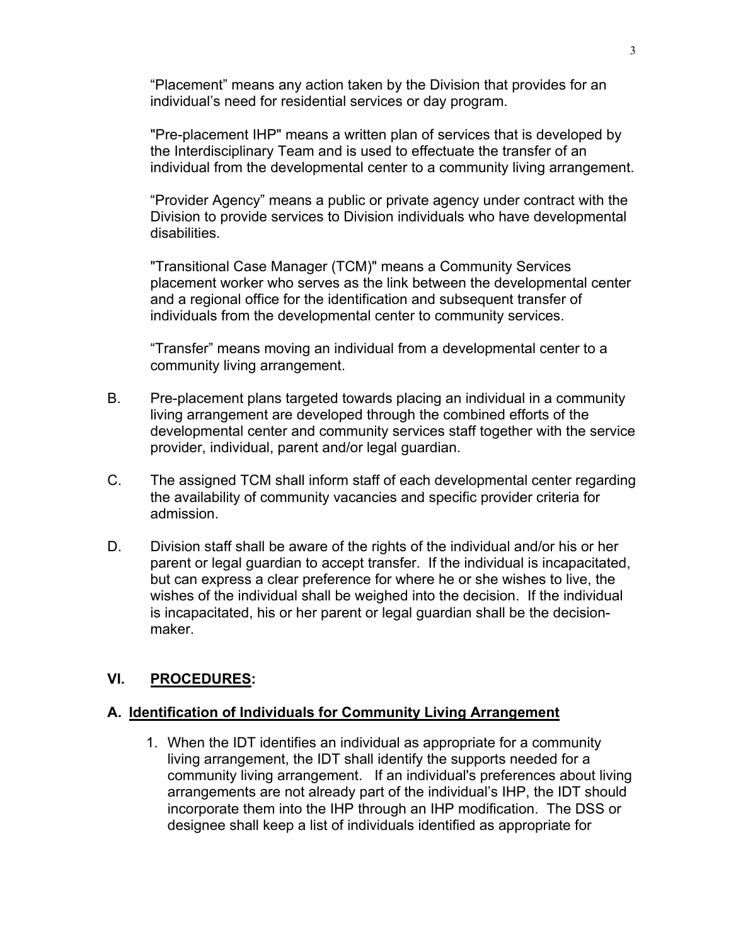"Placement" means any action taken by the Division that provides for an individual's need for residential services or day program.

"Pre-placement IHP" means a written plan of services that is developed by the Interdisciplinary Team and is used to effectuate the transfer of an individual from the developmental center to a community living arrangement.

"Provider Agency" means a public or private agency under contract with the Division to provide services to Division individuals who have developmental disabilities.

"Transitional Case Manager (TCM)" means a Community Services placement worker who serves as the link between the developmental center and a regional office for the identification and subsequent transfer of individuals from the developmental center to community services.

"Transfer" means moving an individual from a developmental center to a community living arrangement.

- B. Pre-placement plans targeted towards placing an individual in a community living arrangement are developed through the combined efforts of the developmental center and community services staff together with the service provider, individual, parent and/or legal guardian.
- C. The assigned TCM shall inform staff of each developmental center regarding the availability of community vacancies and specific provider criteria for admission.
- D. Division staff shall be aware of the rights of the individual and/or his or her parent or legal guardian to accept transfer. If the individual is incapacitated, but can express a clear preference for where he or she wishes to live, the wishes of the individual shall be weighed into the decision. If the individual is incapacitated, his or her parent or legal guardian shall be the decisionmaker.

### **VI. PROCEDURES:**

### **A. Identification of Individuals for Community Living Arrangement**

1. When the IDT identifies an individual as appropriate for a community living arrangement, the IDT shall identify the supports needed for a community living arrangement. If an individual's preferences about living arrangements are not already part of the individual's IHP, the IDT should incorporate them into the IHP through an IHP modification. The DSS or designee shall keep a list of individuals identified as appropriate for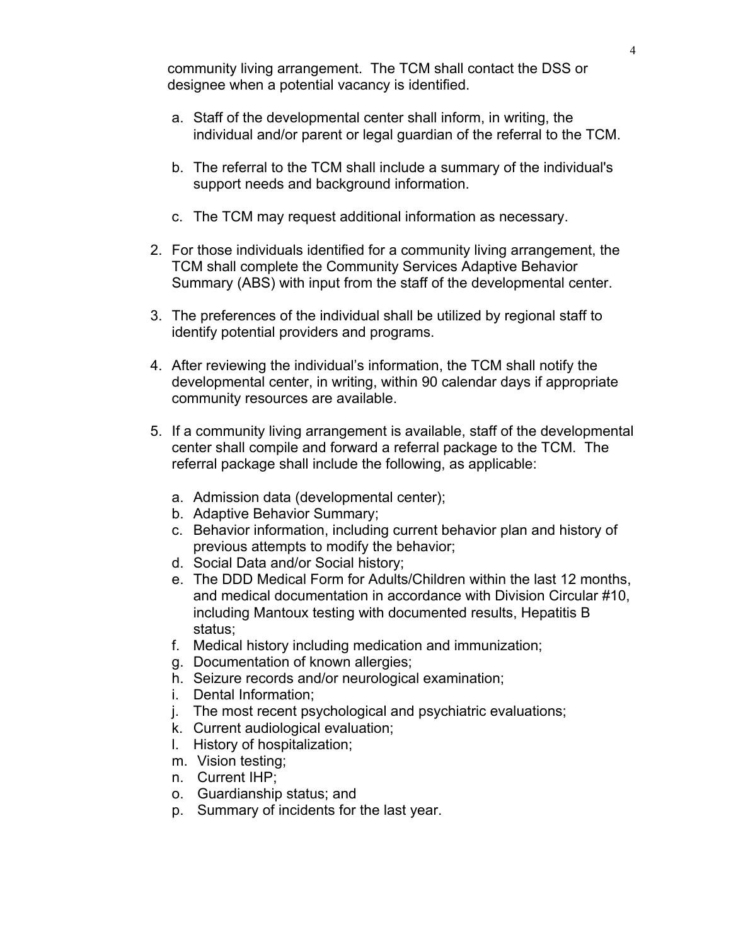community living arrangement. The TCM shall contact the DSS or designee when a potential vacancy is identified.

- a. Staff of the developmental center shall inform, in writing, the individual and/or parent or legal guardian of the referral to the TCM.
- b. The referral to the TCM shall include a summary of the individual's support needs and background information.
- c. The TCM may request additional information as necessary.
- 2. For those individuals identified for a community living arrangement, the TCM shall complete the Community Services Adaptive Behavior Summary (ABS) with input from the staff of the developmental center.
- 3. The preferences of the individual shall be utilized by regional staff to identify potential providers and programs.
- 4. After reviewing the individual's information, the TCM shall notify the developmental center, in writing, within 90 calendar days if appropriate community resources are available.
- 5. If a community living arrangement is available, staff of the developmental center shall compile and forward a referral package to the TCM. The referral package shall include the following, as applicable:
	- a. Admission data (developmental center);
	- b. Adaptive Behavior Summary;
	- c. Behavior information, including current behavior plan and history of previous attempts to modify the behavior;
	- d. Social Data and/or Social history;
	- e. The DDD Medical Form for Adults/Children within the last 12 months, and medical documentation in accordance with Division Circular #10, including Mantoux testing with documented results, Hepatitis B status;
	- f. Medical history including medication and immunization;
	- g. Documentation of known allergies;
	- h. Seizure records and/or neurological examination;
	- i. Dental Information;
	- j. The most recent psychological and psychiatric evaluations;
	- k. Current audiological evaluation;
	- l. History of hospitalization;
	- m. Vision testing;
	- n. Current IHP;
	- o. Guardianship status; and
	- p. Summary of incidents for the last year.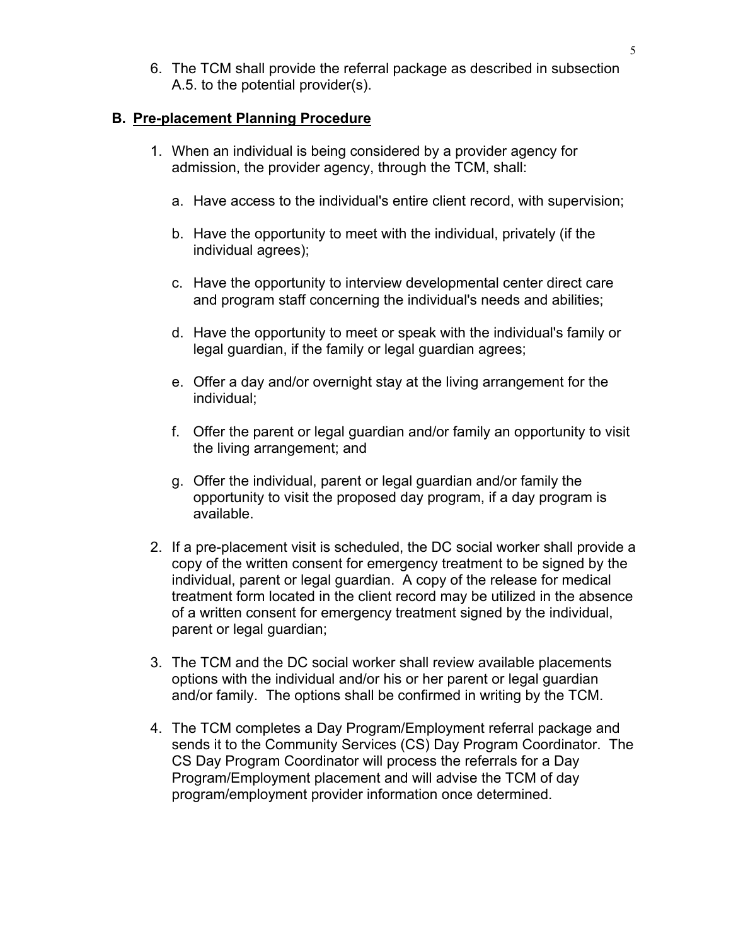6. The TCM shall provide the referral package as described in subsection A.5. to the potential provider(s).

#### **B. Pre-placement Planning Procedure**

- 1. When an individual is being considered by a provider agency for admission, the provider agency, through the TCM, shall:
	- a. Have access to the individual's entire client record, with supervision;
	- b. Have the opportunity to meet with the individual, privately (if the individual agrees);
	- c. Have the opportunity to interview developmental center direct care and program staff concerning the individual's needs and abilities;
	- d. Have the opportunity to meet or speak with the individual's family or legal guardian, if the family or legal guardian agrees;
	- e. Offer a day and/or overnight stay at the living arrangement for the individual;
	- f. Offer the parent or legal guardian and/or family an opportunity to visit the living arrangement; and
	- g. Offer the individual, parent or legal guardian and/or family the opportunity to visit the proposed day program, if a day program is available.
- 2. If a pre-placement visit is scheduled, the DC social worker shall provide a copy of the written consent for emergency treatment to be signed by the individual, parent or legal guardian. A copy of the release for medical treatment form located in the client record may be utilized in the absence of a written consent for emergency treatment signed by the individual, parent or legal guardian;
- 3. The TCM and the DC social worker shall review available placements options with the individual and/or his or her parent or legal guardian and/or family. The options shall be confirmed in writing by the TCM.
- 4. The TCM completes a Day Program/Employment referral package and sends it to the Community Services (CS) Day Program Coordinator. The CS Day Program Coordinator will process the referrals for a Day Program/Employment placement and will advise the TCM of day program/employment provider information once determined.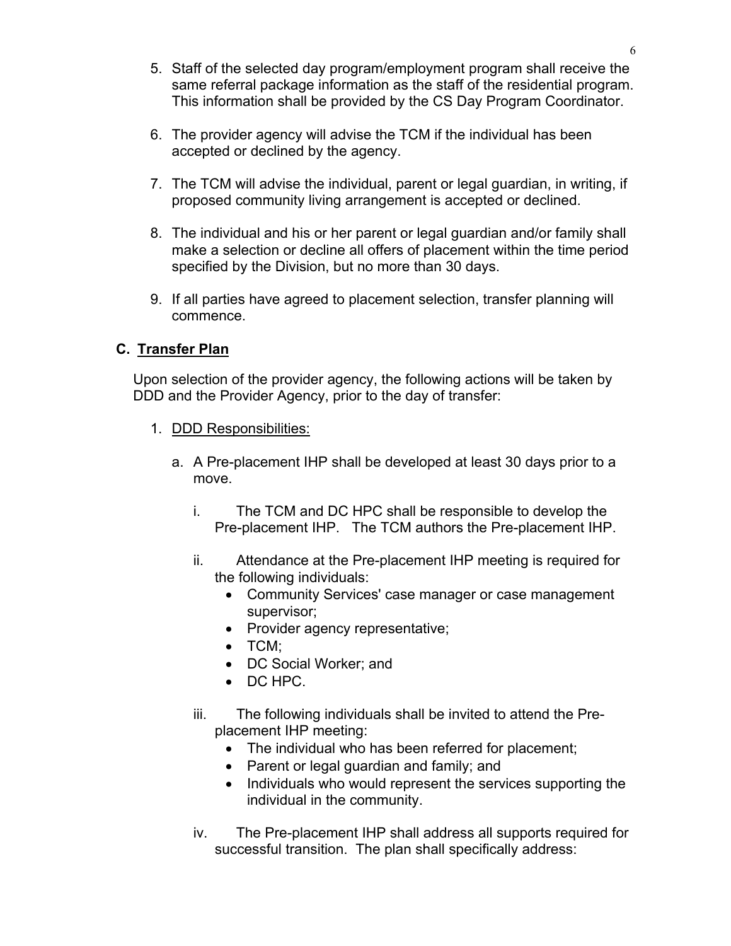- 5. Staff of the selected day program/employment program shall receive the same referral package information as the staff of the residential program. This information shall be provided by the CS Day Program Coordinator.
- 6. The provider agency will advise the TCM if the individual has been accepted or declined by the agency.
- 7. The TCM will advise the individual, parent or legal guardian, in writing, if proposed community living arrangement is accepted or declined.
- 8. The individual and his or her parent or legal guardian and/or family shall make a selection or decline all offers of placement within the time period specified by the Division, but no more than 30 days.
- 9. If all parties have agreed to placement selection, transfer planning will commence.

# **C. Transfer Plan**

Upon selection of the provider agency, the following actions will be taken by DDD and the Provider Agency, prior to the day of transfer:

- 1. DDD Responsibilities:
	- a. A Pre-placement IHP shall be developed at least 30 days prior to a move.
		- i. The TCM and DC HPC shall be responsible to develop the Pre-placement IHP. The TCM authors the Pre-placement IHP.
		- ii. Attendance at the Pre-placement IHP meeting is required for the following individuals:
			- Community Services' case manager or case management supervisor;
			- Provider agency representative;
			- TCM;
			- DC Social Worker; and
			- DC HPC.
		- iii. The following individuals shall be invited to attend the Preplacement IHP meeting:
			- The individual who has been referred for placement;
			- Parent or legal guardian and family; and
			- Individuals who would represent the services supporting the individual in the community.
		- iv. The Pre-placement IHP shall address all supports required for successful transition. The plan shall specifically address: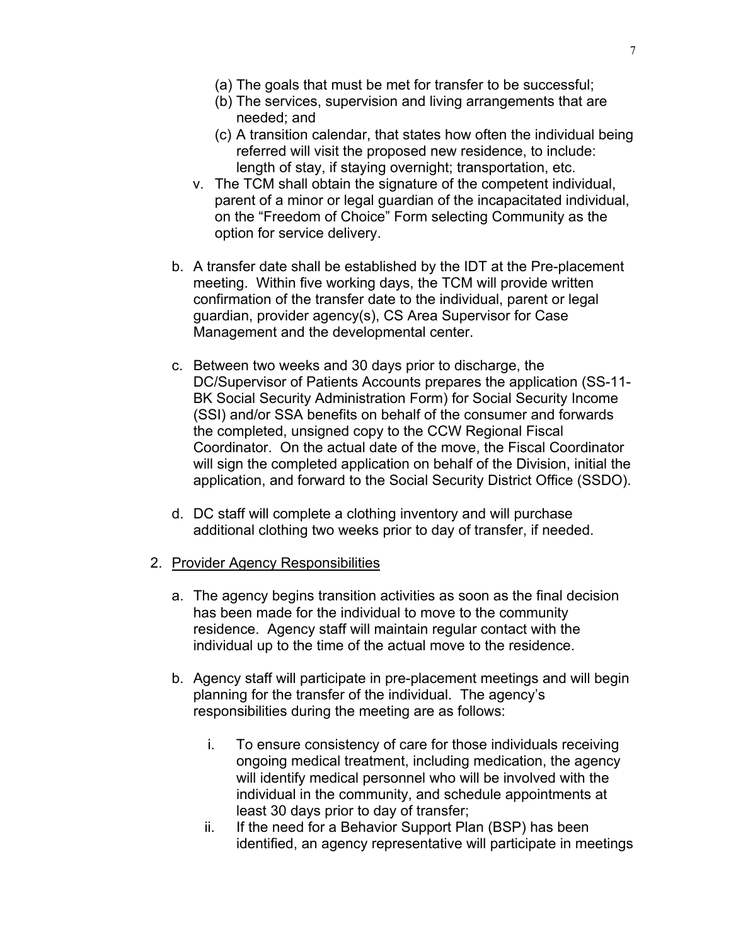- (a) The goals that must be met for transfer to be successful;
- (b) The services, supervision and living arrangements that are needed; and
- (c) A transition calendar, that states how often the individual being referred will visit the proposed new residence, to include: length of stay, if staying overnight; transportation, etc.
- v. The TCM shall obtain the signature of the competent individual, parent of a minor or legal guardian of the incapacitated individual, on the "Freedom of Choice" Form selecting Community as the option for service delivery.
- b. A transfer date shall be established by the IDT at the Pre-placement meeting. Within five working days, the TCM will provide written confirmation of the transfer date to the individual, parent or legal guardian, provider agency(s), CS Area Supervisor for Case Management and the developmental center.
- c. Between two weeks and 30 days prior to discharge, the DC/Supervisor of Patients Accounts prepares the application (SS-11- BK Social Security Administration Form) for Social Security Income (SSI) and/or SSA benefits on behalf of the consumer and forwards the completed, unsigned copy to the CCW Regional Fiscal Coordinator. On the actual date of the move, the Fiscal Coordinator will sign the completed application on behalf of the Division, initial the application, and forward to the Social Security District Office (SSDO).
- d. DC staff will complete a clothing inventory and will purchase additional clothing two weeks prior to day of transfer, if needed.
- 2. Provider Agency Responsibilities
	- a. The agency begins transition activities as soon as the final decision has been made for the individual to move to the community residence. Agency staff will maintain regular contact with the individual up to the time of the actual move to the residence.
	- b. Agency staff will participate in pre-placement meetings and will begin planning for the transfer of the individual. The agency's responsibilities during the meeting are as follows:
		- i. To ensure consistency of care for those individuals receiving ongoing medical treatment, including medication, the agency will identify medical personnel who will be involved with the individual in the community, and schedule appointments at least 30 days prior to day of transfer;
		- ii. If the need for a Behavior Support Plan (BSP) has been identified, an agency representative will participate in meetings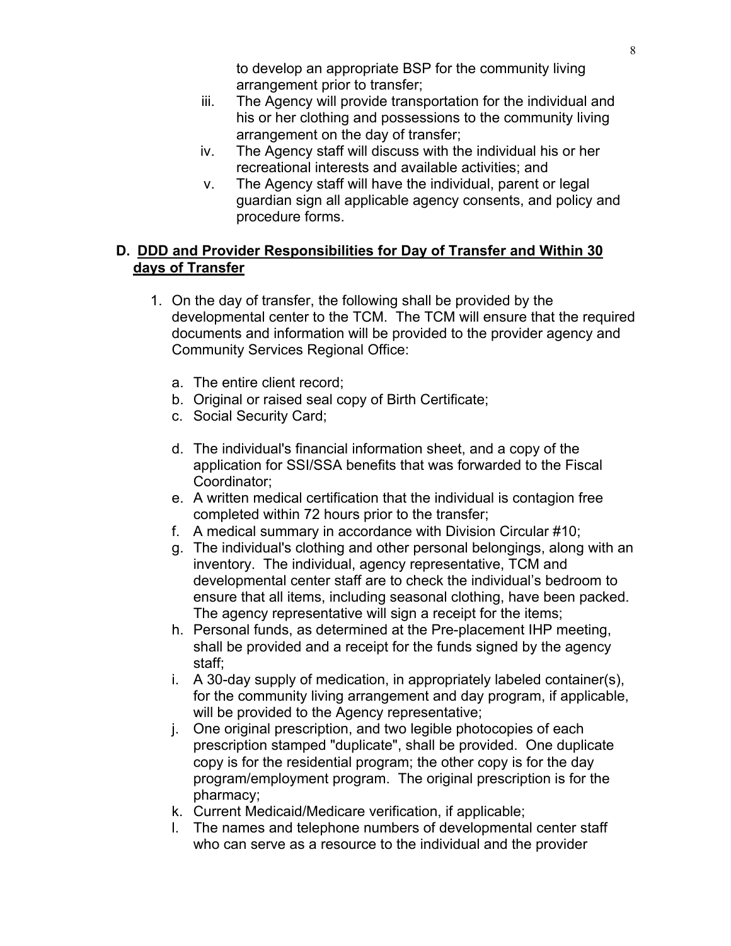to develop an appropriate BSP for the community living arrangement prior to transfer;

- iii. The Agency will provide transportation for the individual and his or her clothing and possessions to the community living arrangement on the day of transfer;
- iv. The Agency staff will discuss with the individual his or her recreational interests and available activities; and
- v. The Agency staff will have the individual, parent or legal guardian sign all applicable agency consents, and policy and procedure forms.

# **D. DDD and Provider Responsibilities for Day of Transfer and Within 30 days of Transfer**

- 1. On the day of transfer, the following shall be provided by the developmental center to the TCM. The TCM will ensure that the required documents and information will be provided to the provider agency and Community Services Regional Office:
	- a. The entire client record;
	- b. Original or raised seal copy of Birth Certificate;
	- c. Social Security Card;
	- d. The individual's financial information sheet, and a copy of the application for SSI/SSA benefits that was forwarded to the Fiscal Coordinator;
	- e. A written medical certification that the individual is contagion free completed within 72 hours prior to the transfer;
	- f. A medical summary in accordance with Division Circular #10;
	- g. The individual's clothing and other personal belongings, along with an inventory. The individual, agency representative, TCM and developmental center staff are to check the individual's bedroom to ensure that all items, including seasonal clothing, have been packed. The agency representative will sign a receipt for the items;
	- h. Personal funds, as determined at the Pre-placement IHP meeting, shall be provided and a receipt for the funds signed by the agency staff;
	- i. A 30-day supply of medication, in appropriately labeled container(s), for the community living arrangement and day program, if applicable, will be provided to the Agency representative;
	- j. One original prescription, and two legible photocopies of each prescription stamped "duplicate", shall be provided. One duplicate copy is for the residential program; the other copy is for the day program/employment program. The original prescription is for the pharmacy;
	- k. Current Medicaid/Medicare verification, if applicable;
	- l. The names and telephone numbers of developmental center staff who can serve as a resource to the individual and the provider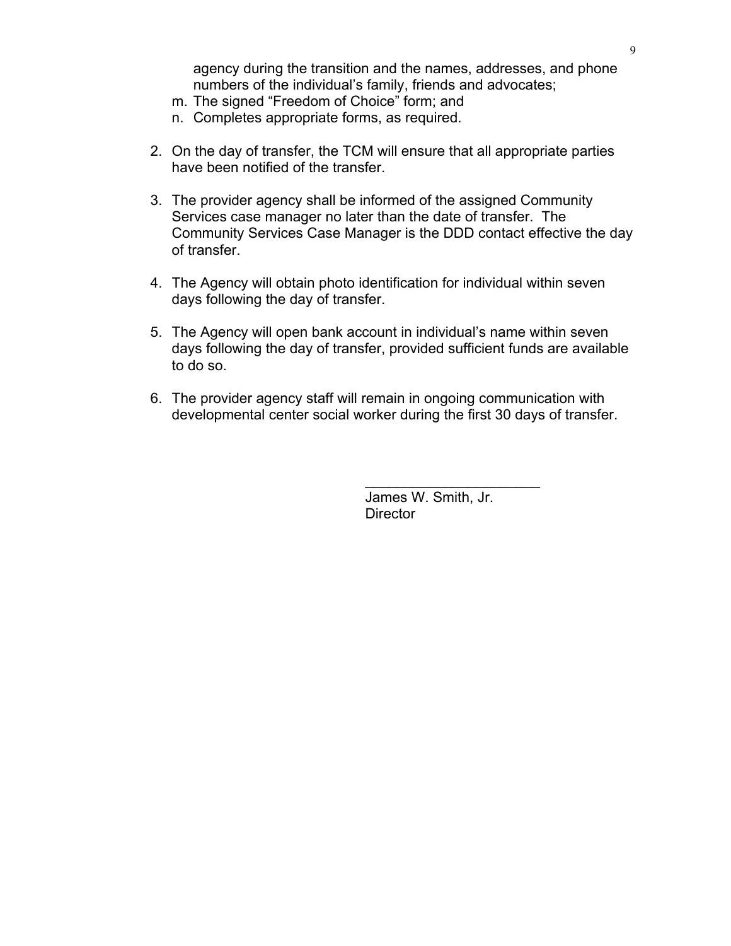agency during the transition and the names, addresses, and phone numbers of the individual's family, friends and advocates;

- m. The signed "Freedom of Choice" form; and
- n. Completes appropriate forms, as required.
- 2. On the day of transfer, the TCM will ensure that all appropriate parties have been notified of the transfer.
- 3. The provider agency shall be informed of the assigned Community Services case manager no later than the date of transfer. The Community Services Case Manager is the DDD contact effective the day of transfer.
- 4. The Agency will obtain photo identification for individual within seven days following the day of transfer.
- 5. The Agency will open bank account in individual's name within seven days following the day of transfer, provided sufficient funds are available to do so.
- 6. The provider agency staff will remain in ongoing communication with developmental center social worker during the first 30 days of transfer.

 James W. Smith, Jr. **Director** 

 $\overline{\phantom{a}}$  , where  $\overline{\phantom{a}}$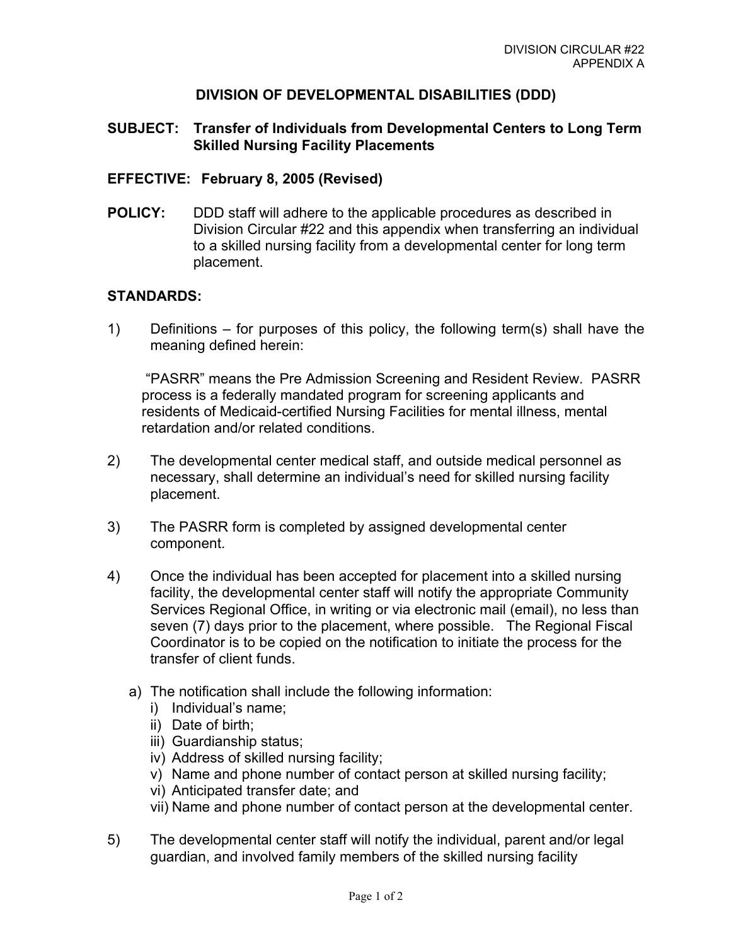### **DIVISION OF DEVELOPMENTAL DISABILITIES (DDD)**

### **SUBJECT: Transfer of Individuals from Developmental Centers to Long Term Skilled Nursing Facility Placements**

#### **EFFECTIVE: February 8, 2005 (Revised)**

**POLICY:** DDD staff will adhere to the applicable procedures as described in Division Circular #22 and this appendix when transferring an individual to a skilled nursing facility from a developmental center for long term placement.

#### **STANDARDS:**

1) Definitions – for purposes of this policy, the following term(s) shall have the meaning defined herein:

 "PASRR" means the Pre Admission Screening and Resident Review. PASRR process is a federally mandated program for screening applicants and residents of Medicaid-certified Nursing Facilities for mental illness, mental retardation and/or related conditions.

- 2) The developmental center medical staff, and outside medical personnel as necessary, shall determine an individual's need for skilled nursing facility placement.
- 3) The PASRR form is completed by assigned developmental center component.
- 4) Once the individual has been accepted for placement into a skilled nursing facility, the developmental center staff will notify the appropriate Community Services Regional Office, in writing or via electronic mail (email), no less than seven (7) days prior to the placement, where possible. The Regional Fiscal Coordinator is to be copied on the notification to initiate the process for the transfer of client funds.
	- a) The notification shall include the following information:
		- i) Individual's name;
		- ii) Date of birth;
		- iii) Guardianship status;
		- iv) Address of skilled nursing facility;
		- v) Name and phone number of contact person at skilled nursing facility;
		- vi) Anticipated transfer date; and
		- vii) Name and phone number of contact person at the developmental center.
- 5) The developmental center staff will notify the individual, parent and/or legal guardian, and involved family members of the skilled nursing facility